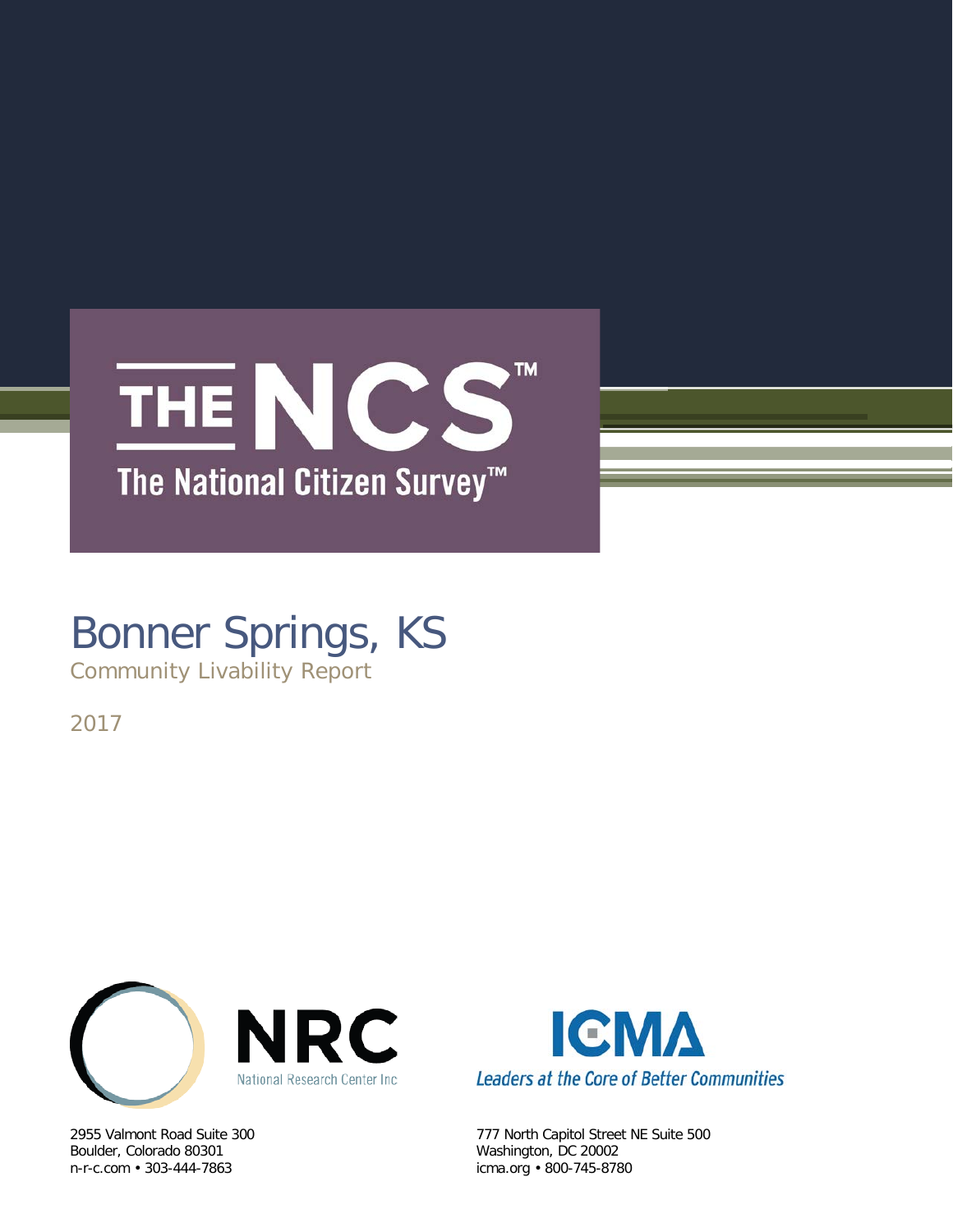

# Bonner Springs, KS

Community Livability Report

2017



Boulder, Colorado 80301 Washington, DC 20002



2955 Valmont Road Suite 300 777 North Capitol Street NE Suite 500 icma.org • 800-745-8780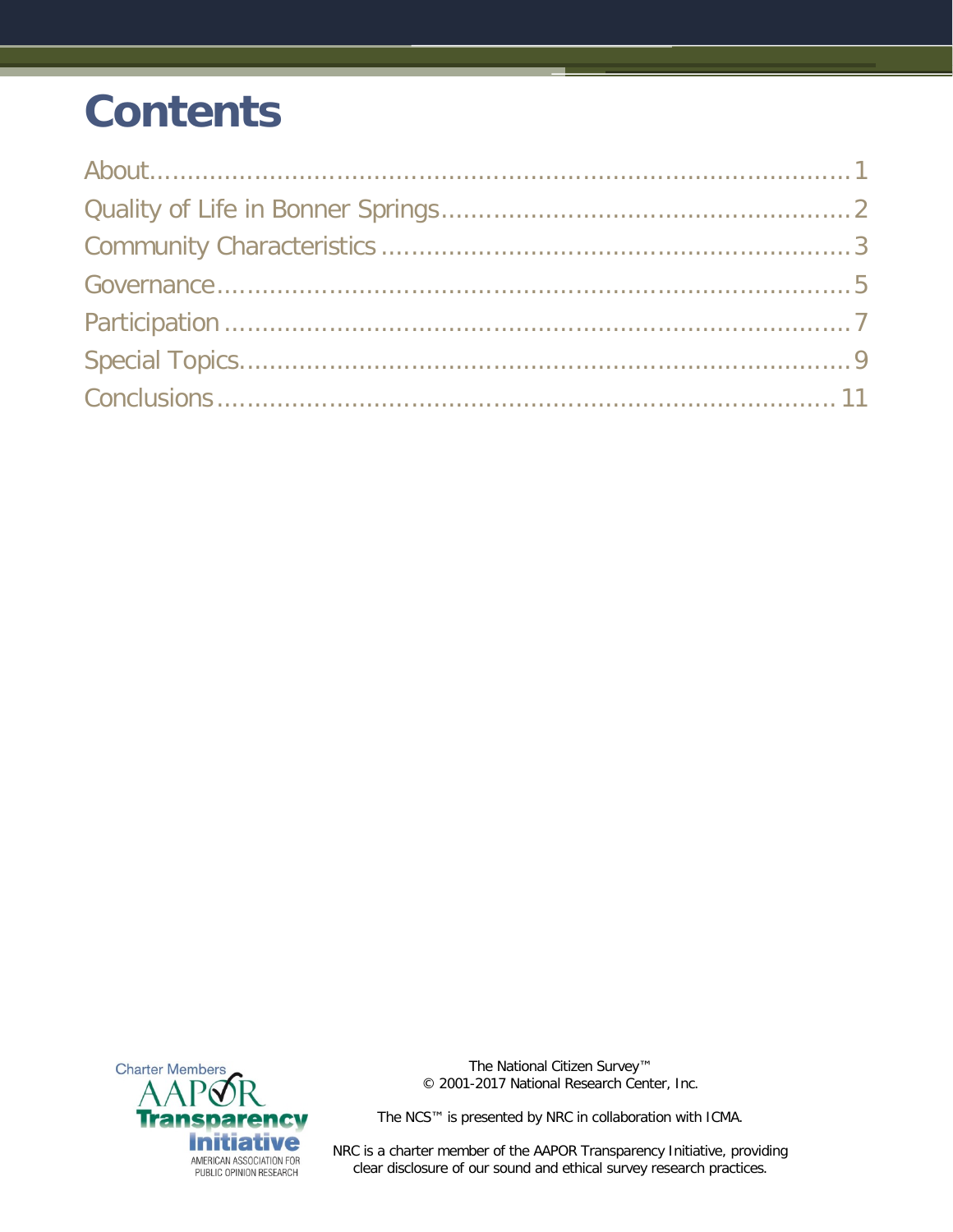## **Contents**



The National Citizen Survey™ © 2001-2017 National Research Center, Inc.

The NCS™ is presented by NRC in collaboration with ICMA.

NRC is a charter member of the AAPOR Transparency Initiative, providing clear disclosure of our sound and ethical survey research practices.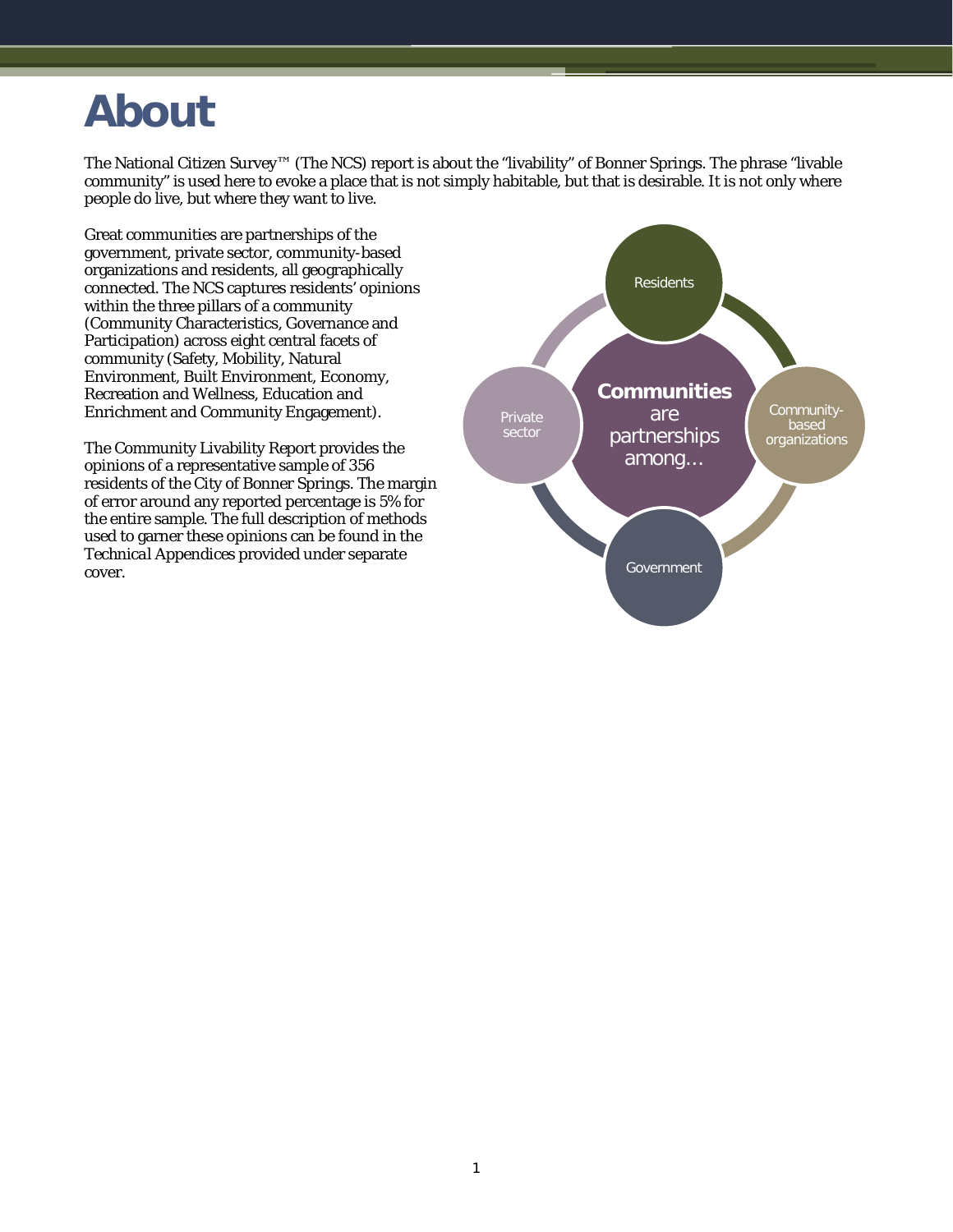### <span id="page-2-0"></span>**About**

The National Citizen Survey™ (The NCS) report is about the "livability" of Bonner Springs. The phrase "livable community" is used here to evoke a place that is not simply habitable, but that is desirable. It is not only where people do live, but where they want to live.

Great communities are partnerships of the government, private sector, community-based organizations and residents, all geographically connected. The NCS captures residents' opinions within the three pillars of a community (Community Characteristics, Governance and Participation) across eight central facets of community (Safety, Mobility, Natural Environment, Built Environment, Economy, Recreation and Wellness, Education and Enrichment and Community Engagement).

The Community Livability Report provides the opinions of a representative sample of 356 residents of the City of Bonner Springs. The margin of error around any reported percentage is 5% for the entire sample. The full description of methods used to garner these opinions can be found in the *Technical Appendices* provided under separate cover.

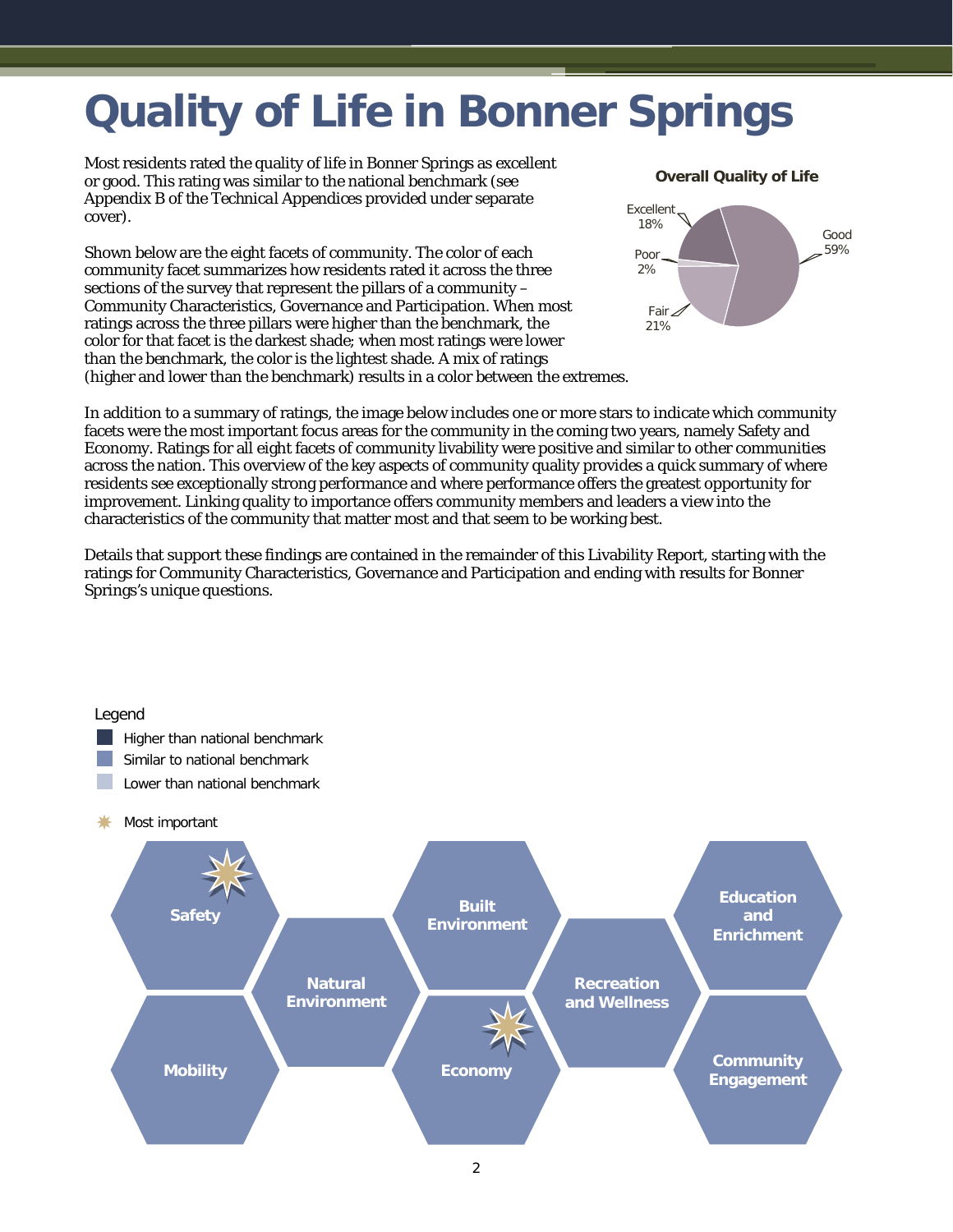## <span id="page-3-0"></span>**Quality of Life in Bonner Springs**

Most residents rated the quality of life in Bonner Springs as excellent or good. This rating was similar to the national benchmark (see Appendix B of the *Technical Appendices* provided under separate cover).

Shown below are the eight facets of community. The color of each community facet summarizes how residents rated it across the three sections of the survey that represent the pillars of a community – Community Characteristics, Governance and Participation. When most ratings across the three pillars were higher than the benchmark, the color for that facet is the darkest shade; when most ratings were lower than the benchmark, the color is the lightest shade. A mix of ratings (higher and lower than the benchmark) results in a color between the extremes. **Overall Quality of Life**



In addition to a summary of ratings, the image below includes one or more stars to indicate which community facets were the most important focus areas for the community in the coming two years, namely Safety and Economy. Ratings for all eight facets of community livability were positive and similar to other communities across the nation. This overview of the key aspects of community quality provides a quick summary of where residents see exceptionally strong performance and where performance offers the greatest opportunity for improvement. Linking quality to importance offers community members and leaders a view into the characteristics of the community that matter most and that seem to be working best.

Details that support these findings are contained in the remainder of this Livability Report, starting with the ratings for Community Characteristics, Governance and Participation and ending with results for Bonner Springs's unique questions.

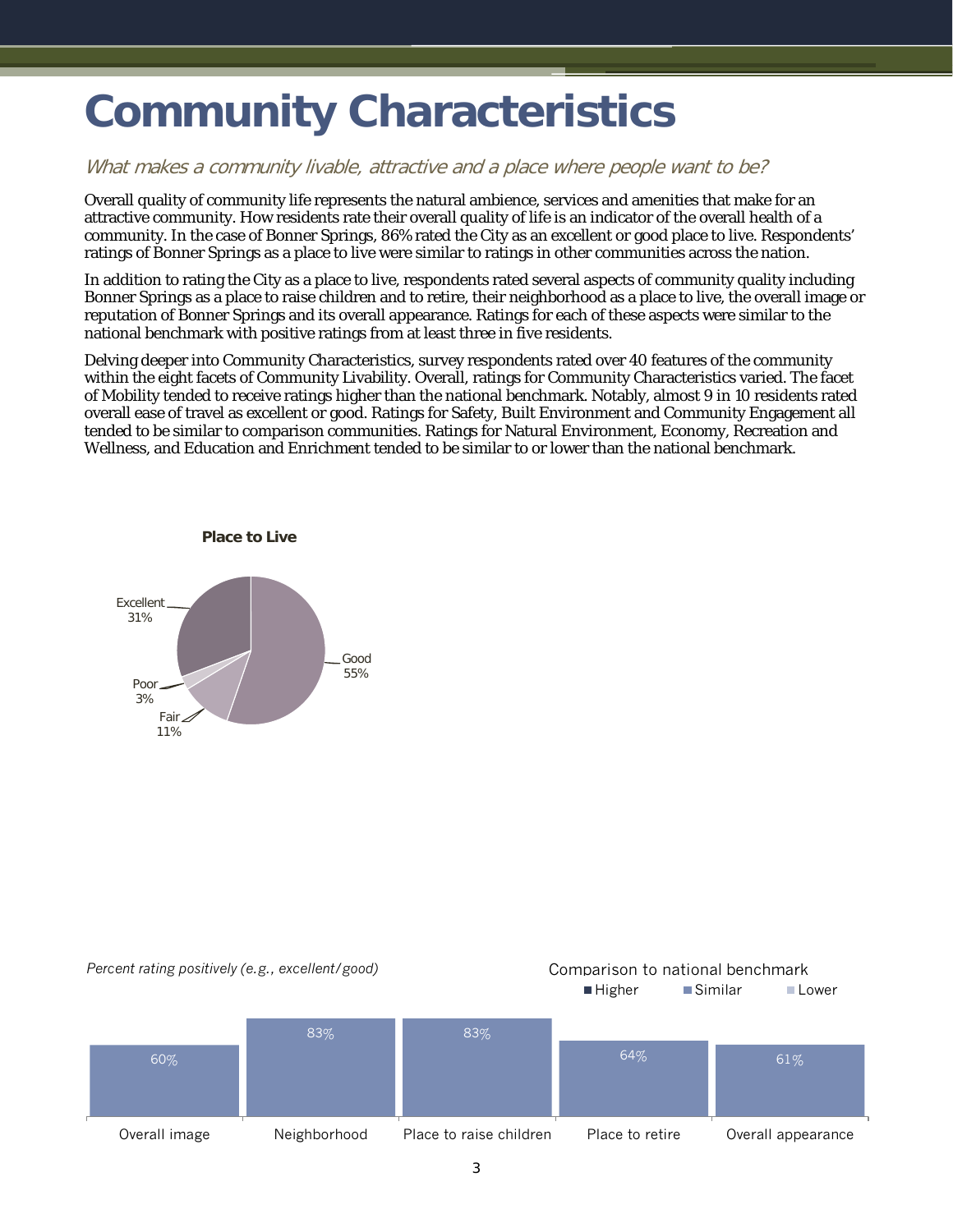### <span id="page-4-0"></span>**Community Characteristics**

#### What makes a community livable, attractive and a place where people want to be?

Overall quality of community life represents the natural ambience, services and amenities that make for an attractive community. How residents rate their overall quality of life is an indicator of the overall health of a community. In the case of Bonner Springs, 86% rated the City as an excellent or good place to live. Respondents' ratings of Bonner Springs as a place to live were similar to ratings in other communities across the nation.

In addition to rating the City as a place to live, respondents rated several aspects of community quality including Bonner Springs as a place to raise children and to retire, their neighborhood as a place to live, the overall image or reputation of Bonner Springs and its overall appearance. Ratings for each of these aspects were similar to the national benchmark with positive ratings from at least three in five residents.

Delving deeper into Community Characteristics, survey respondents rated over 40 features of the community within the eight facets of Community Livability. Overall, ratings for Community Characteristics varied. The facet of Mobility tended to receive ratings higher than the national benchmark. Notably, almost 9 in 10 residents rated overall ease of travel as excellent or good. Ratings for Safety, Built Environment and Community Engagement all tended to be similar to comparison communities. Ratings for Natural Environment, Economy, Recreation and Wellness, and Education and Enrichment tended to be similar to or lower than the national benchmark.



#### *Percent rating positively (e.g., excellent/good)* Comparison to national benchmark

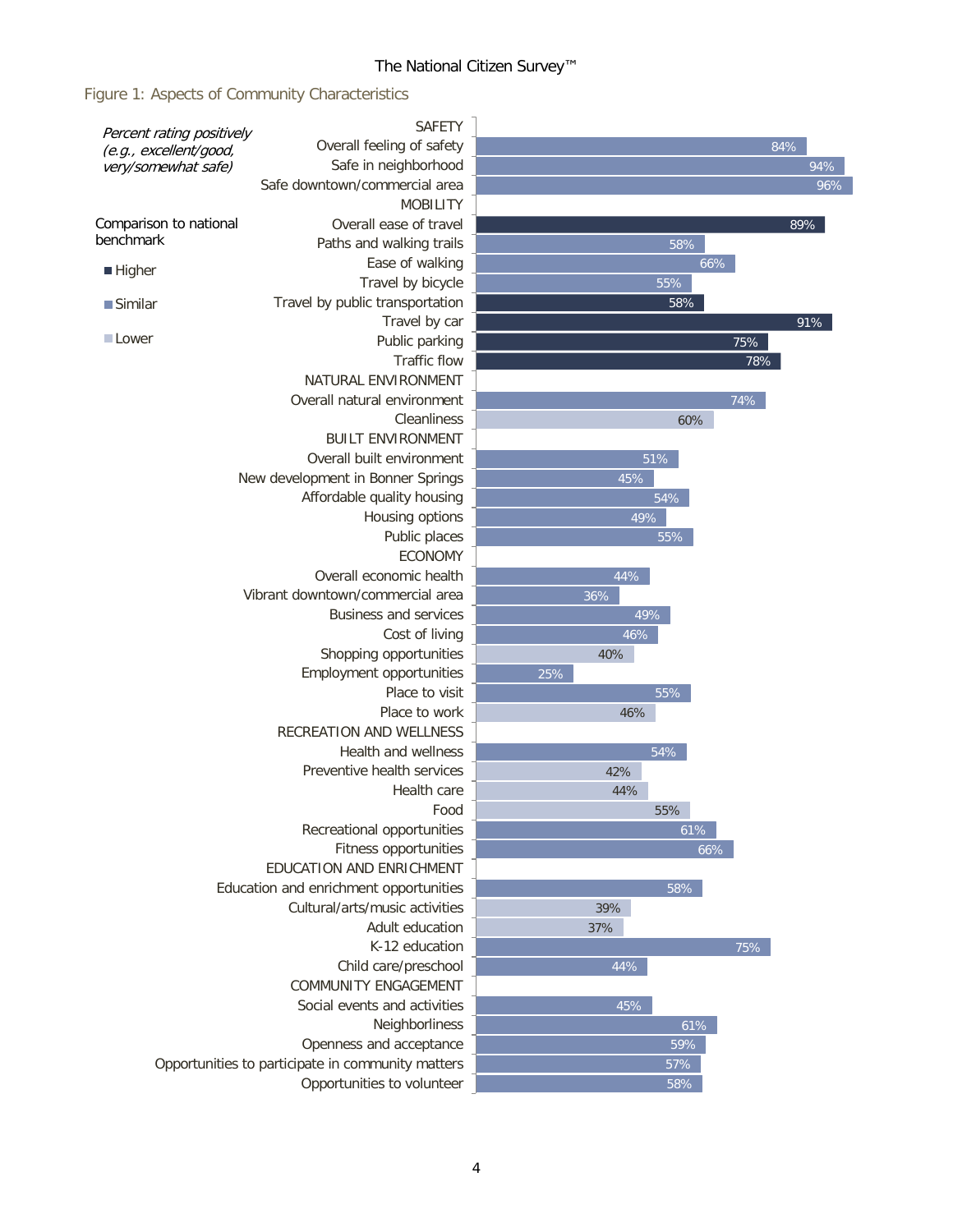#### The National Citizen Survey™

Figure 1: Aspects of Community Characteristics

| Overall feeling of safety<br>84%<br>(e.g., excellent/good,<br>Safe in neighborhood<br>94%<br>very/somewhat safe)<br>Safe downtown/commercial area<br>96%<br><b>MOBILITY</b><br>Overall ease of travel<br>89%<br>Paths and walking trails<br>58%<br>Ease of walking<br>66%<br><b>Higher</b><br>Travel by bicycle<br>55%<br>Travel by public transportation<br>58%<br>$\blacksquare$ Similar<br>Travel by car<br>91%<br>Lower<br>Public parking<br>75%<br>Traffic flow<br>78%<br>NATURAL ENVIRONMENT<br>Overall natural environment<br>74%<br>Cleanliness<br>60%<br><b>BUILT ENVIRONMENT</b><br>Overall built environment<br>51%<br>New development in Bonner Springs<br>45%<br>Affordable quality housing<br>54%<br>Housing options<br>49%<br>Public places<br>55%<br><b>ECONOMY</b><br>Overall economic health<br>44%<br>Vibrant downtown/commercial area<br>36%<br><b>Business and services</b><br>49%<br>46%<br>Cost of living<br>Shopping opportunities<br>40%<br>Employment opportunities<br>25%<br>Place to visit<br>55%<br>Place to work<br>46%<br>RECREATION AND WELLNESS<br>Health and wellness<br>54%<br>Preventive health services<br>42%<br>Health care<br>44%<br>Food<br>55%<br>Recreational opportunities<br>61%<br>Fitness opportunities<br>66%<br>EDUCATION AND ENRICHMENT<br>Education and enrichment opportunities<br>58%<br>Cultural/arts/music activities<br>39%<br>Adult education<br>37%<br>K-12 education<br>75%<br>Child care/preschool<br>44%<br><b>COMMUNITY ENGAGEMENT</b><br>Social events and activities<br>45%<br>Neighborliness<br>61%<br>Openness and acceptance<br>59%<br>Opportunities to participate in community matters<br>57%<br>Opportunities to volunteer<br>58% | Percent rating positively | <b>SAFETY</b> |  |  |  |  |
|---------------------------------------------------------------------------------------------------------------------------------------------------------------------------------------------------------------------------------------------------------------------------------------------------------------------------------------------------------------------------------------------------------------------------------------------------------------------------------------------------------------------------------------------------------------------------------------------------------------------------------------------------------------------------------------------------------------------------------------------------------------------------------------------------------------------------------------------------------------------------------------------------------------------------------------------------------------------------------------------------------------------------------------------------------------------------------------------------------------------------------------------------------------------------------------------------------------------------------------------------------------------------------------------------------------------------------------------------------------------------------------------------------------------------------------------------------------------------------------------------------------------------------------------------------------------------------------------------------------------------------------------------------------------------------------------------------|---------------------------|---------------|--|--|--|--|
|                                                                                                                                                                                                                                                                                                                                                                                                                                                                                                                                                                                                                                                                                                                                                                                                                                                                                                                                                                                                                                                                                                                                                                                                                                                                                                                                                                                                                                                                                                                                                                                                                                                                                                         |                           |               |  |  |  |  |
|                                                                                                                                                                                                                                                                                                                                                                                                                                                                                                                                                                                                                                                                                                                                                                                                                                                                                                                                                                                                                                                                                                                                                                                                                                                                                                                                                                                                                                                                                                                                                                                                                                                                                                         |                           |               |  |  |  |  |
|                                                                                                                                                                                                                                                                                                                                                                                                                                                                                                                                                                                                                                                                                                                                                                                                                                                                                                                                                                                                                                                                                                                                                                                                                                                                                                                                                                                                                                                                                                                                                                                                                                                                                                         |                           |               |  |  |  |  |
|                                                                                                                                                                                                                                                                                                                                                                                                                                                                                                                                                                                                                                                                                                                                                                                                                                                                                                                                                                                                                                                                                                                                                                                                                                                                                                                                                                                                                                                                                                                                                                                                                                                                                                         |                           |               |  |  |  |  |
|                                                                                                                                                                                                                                                                                                                                                                                                                                                                                                                                                                                                                                                                                                                                                                                                                                                                                                                                                                                                                                                                                                                                                                                                                                                                                                                                                                                                                                                                                                                                                                                                                                                                                                         | Comparison to national    |               |  |  |  |  |
|                                                                                                                                                                                                                                                                                                                                                                                                                                                                                                                                                                                                                                                                                                                                                                                                                                                                                                                                                                                                                                                                                                                                                                                                                                                                                                                                                                                                                                                                                                                                                                                                                                                                                                         | benchmark                 |               |  |  |  |  |
|                                                                                                                                                                                                                                                                                                                                                                                                                                                                                                                                                                                                                                                                                                                                                                                                                                                                                                                                                                                                                                                                                                                                                                                                                                                                                                                                                                                                                                                                                                                                                                                                                                                                                                         |                           |               |  |  |  |  |
|                                                                                                                                                                                                                                                                                                                                                                                                                                                                                                                                                                                                                                                                                                                                                                                                                                                                                                                                                                                                                                                                                                                                                                                                                                                                                                                                                                                                                                                                                                                                                                                                                                                                                                         |                           |               |  |  |  |  |
|                                                                                                                                                                                                                                                                                                                                                                                                                                                                                                                                                                                                                                                                                                                                                                                                                                                                                                                                                                                                                                                                                                                                                                                                                                                                                                                                                                                                                                                                                                                                                                                                                                                                                                         |                           |               |  |  |  |  |
|                                                                                                                                                                                                                                                                                                                                                                                                                                                                                                                                                                                                                                                                                                                                                                                                                                                                                                                                                                                                                                                                                                                                                                                                                                                                                                                                                                                                                                                                                                                                                                                                                                                                                                         |                           |               |  |  |  |  |
|                                                                                                                                                                                                                                                                                                                                                                                                                                                                                                                                                                                                                                                                                                                                                                                                                                                                                                                                                                                                                                                                                                                                                                                                                                                                                                                                                                                                                                                                                                                                                                                                                                                                                                         |                           |               |  |  |  |  |
|                                                                                                                                                                                                                                                                                                                                                                                                                                                                                                                                                                                                                                                                                                                                                                                                                                                                                                                                                                                                                                                                                                                                                                                                                                                                                                                                                                                                                                                                                                                                                                                                                                                                                                         |                           |               |  |  |  |  |
|                                                                                                                                                                                                                                                                                                                                                                                                                                                                                                                                                                                                                                                                                                                                                                                                                                                                                                                                                                                                                                                                                                                                                                                                                                                                                                                                                                                                                                                                                                                                                                                                                                                                                                         |                           |               |  |  |  |  |
|                                                                                                                                                                                                                                                                                                                                                                                                                                                                                                                                                                                                                                                                                                                                                                                                                                                                                                                                                                                                                                                                                                                                                                                                                                                                                                                                                                                                                                                                                                                                                                                                                                                                                                         |                           |               |  |  |  |  |
|                                                                                                                                                                                                                                                                                                                                                                                                                                                                                                                                                                                                                                                                                                                                                                                                                                                                                                                                                                                                                                                                                                                                                                                                                                                                                                                                                                                                                                                                                                                                                                                                                                                                                                         |                           |               |  |  |  |  |
|                                                                                                                                                                                                                                                                                                                                                                                                                                                                                                                                                                                                                                                                                                                                                                                                                                                                                                                                                                                                                                                                                                                                                                                                                                                                                                                                                                                                                                                                                                                                                                                                                                                                                                         |                           |               |  |  |  |  |
|                                                                                                                                                                                                                                                                                                                                                                                                                                                                                                                                                                                                                                                                                                                                                                                                                                                                                                                                                                                                                                                                                                                                                                                                                                                                                                                                                                                                                                                                                                                                                                                                                                                                                                         |                           |               |  |  |  |  |
|                                                                                                                                                                                                                                                                                                                                                                                                                                                                                                                                                                                                                                                                                                                                                                                                                                                                                                                                                                                                                                                                                                                                                                                                                                                                                                                                                                                                                                                                                                                                                                                                                                                                                                         |                           |               |  |  |  |  |
|                                                                                                                                                                                                                                                                                                                                                                                                                                                                                                                                                                                                                                                                                                                                                                                                                                                                                                                                                                                                                                                                                                                                                                                                                                                                                                                                                                                                                                                                                                                                                                                                                                                                                                         |                           |               |  |  |  |  |
|                                                                                                                                                                                                                                                                                                                                                                                                                                                                                                                                                                                                                                                                                                                                                                                                                                                                                                                                                                                                                                                                                                                                                                                                                                                                                                                                                                                                                                                                                                                                                                                                                                                                                                         |                           |               |  |  |  |  |
|                                                                                                                                                                                                                                                                                                                                                                                                                                                                                                                                                                                                                                                                                                                                                                                                                                                                                                                                                                                                                                                                                                                                                                                                                                                                                                                                                                                                                                                                                                                                                                                                                                                                                                         |                           |               |  |  |  |  |
|                                                                                                                                                                                                                                                                                                                                                                                                                                                                                                                                                                                                                                                                                                                                                                                                                                                                                                                                                                                                                                                                                                                                                                                                                                                                                                                                                                                                                                                                                                                                                                                                                                                                                                         |                           |               |  |  |  |  |
|                                                                                                                                                                                                                                                                                                                                                                                                                                                                                                                                                                                                                                                                                                                                                                                                                                                                                                                                                                                                                                                                                                                                                                                                                                                                                                                                                                                                                                                                                                                                                                                                                                                                                                         |                           |               |  |  |  |  |
|                                                                                                                                                                                                                                                                                                                                                                                                                                                                                                                                                                                                                                                                                                                                                                                                                                                                                                                                                                                                                                                                                                                                                                                                                                                                                                                                                                                                                                                                                                                                                                                                                                                                                                         |                           |               |  |  |  |  |
|                                                                                                                                                                                                                                                                                                                                                                                                                                                                                                                                                                                                                                                                                                                                                                                                                                                                                                                                                                                                                                                                                                                                                                                                                                                                                                                                                                                                                                                                                                                                                                                                                                                                                                         |                           |               |  |  |  |  |
|                                                                                                                                                                                                                                                                                                                                                                                                                                                                                                                                                                                                                                                                                                                                                                                                                                                                                                                                                                                                                                                                                                                                                                                                                                                                                                                                                                                                                                                                                                                                                                                                                                                                                                         |                           |               |  |  |  |  |
|                                                                                                                                                                                                                                                                                                                                                                                                                                                                                                                                                                                                                                                                                                                                                                                                                                                                                                                                                                                                                                                                                                                                                                                                                                                                                                                                                                                                                                                                                                                                                                                                                                                                                                         |                           |               |  |  |  |  |
|                                                                                                                                                                                                                                                                                                                                                                                                                                                                                                                                                                                                                                                                                                                                                                                                                                                                                                                                                                                                                                                                                                                                                                                                                                                                                                                                                                                                                                                                                                                                                                                                                                                                                                         |                           |               |  |  |  |  |
|                                                                                                                                                                                                                                                                                                                                                                                                                                                                                                                                                                                                                                                                                                                                                                                                                                                                                                                                                                                                                                                                                                                                                                                                                                                                                                                                                                                                                                                                                                                                                                                                                                                                                                         |                           |               |  |  |  |  |
|                                                                                                                                                                                                                                                                                                                                                                                                                                                                                                                                                                                                                                                                                                                                                                                                                                                                                                                                                                                                                                                                                                                                                                                                                                                                                                                                                                                                                                                                                                                                                                                                                                                                                                         |                           |               |  |  |  |  |
|                                                                                                                                                                                                                                                                                                                                                                                                                                                                                                                                                                                                                                                                                                                                                                                                                                                                                                                                                                                                                                                                                                                                                                                                                                                                                                                                                                                                                                                                                                                                                                                                                                                                                                         |                           |               |  |  |  |  |
|                                                                                                                                                                                                                                                                                                                                                                                                                                                                                                                                                                                                                                                                                                                                                                                                                                                                                                                                                                                                                                                                                                                                                                                                                                                                                                                                                                                                                                                                                                                                                                                                                                                                                                         |                           |               |  |  |  |  |
|                                                                                                                                                                                                                                                                                                                                                                                                                                                                                                                                                                                                                                                                                                                                                                                                                                                                                                                                                                                                                                                                                                                                                                                                                                                                                                                                                                                                                                                                                                                                                                                                                                                                                                         |                           |               |  |  |  |  |
|                                                                                                                                                                                                                                                                                                                                                                                                                                                                                                                                                                                                                                                                                                                                                                                                                                                                                                                                                                                                                                                                                                                                                                                                                                                                                                                                                                                                                                                                                                                                                                                                                                                                                                         |                           |               |  |  |  |  |
|                                                                                                                                                                                                                                                                                                                                                                                                                                                                                                                                                                                                                                                                                                                                                                                                                                                                                                                                                                                                                                                                                                                                                                                                                                                                                                                                                                                                                                                                                                                                                                                                                                                                                                         |                           |               |  |  |  |  |
|                                                                                                                                                                                                                                                                                                                                                                                                                                                                                                                                                                                                                                                                                                                                                                                                                                                                                                                                                                                                                                                                                                                                                                                                                                                                                                                                                                                                                                                                                                                                                                                                                                                                                                         |                           |               |  |  |  |  |
|                                                                                                                                                                                                                                                                                                                                                                                                                                                                                                                                                                                                                                                                                                                                                                                                                                                                                                                                                                                                                                                                                                                                                                                                                                                                                                                                                                                                                                                                                                                                                                                                                                                                                                         |                           |               |  |  |  |  |
|                                                                                                                                                                                                                                                                                                                                                                                                                                                                                                                                                                                                                                                                                                                                                                                                                                                                                                                                                                                                                                                                                                                                                                                                                                                                                                                                                                                                                                                                                                                                                                                                                                                                                                         |                           |               |  |  |  |  |
|                                                                                                                                                                                                                                                                                                                                                                                                                                                                                                                                                                                                                                                                                                                                                                                                                                                                                                                                                                                                                                                                                                                                                                                                                                                                                                                                                                                                                                                                                                                                                                                                                                                                                                         |                           |               |  |  |  |  |
|                                                                                                                                                                                                                                                                                                                                                                                                                                                                                                                                                                                                                                                                                                                                                                                                                                                                                                                                                                                                                                                                                                                                                                                                                                                                                                                                                                                                                                                                                                                                                                                                                                                                                                         |                           |               |  |  |  |  |
|                                                                                                                                                                                                                                                                                                                                                                                                                                                                                                                                                                                                                                                                                                                                                                                                                                                                                                                                                                                                                                                                                                                                                                                                                                                                                                                                                                                                                                                                                                                                                                                                                                                                                                         |                           |               |  |  |  |  |
|                                                                                                                                                                                                                                                                                                                                                                                                                                                                                                                                                                                                                                                                                                                                                                                                                                                                                                                                                                                                                                                                                                                                                                                                                                                                                                                                                                                                                                                                                                                                                                                                                                                                                                         |                           |               |  |  |  |  |
|                                                                                                                                                                                                                                                                                                                                                                                                                                                                                                                                                                                                                                                                                                                                                                                                                                                                                                                                                                                                                                                                                                                                                                                                                                                                                                                                                                                                                                                                                                                                                                                                                                                                                                         |                           |               |  |  |  |  |
|                                                                                                                                                                                                                                                                                                                                                                                                                                                                                                                                                                                                                                                                                                                                                                                                                                                                                                                                                                                                                                                                                                                                                                                                                                                                                                                                                                                                                                                                                                                                                                                                                                                                                                         |                           |               |  |  |  |  |
|                                                                                                                                                                                                                                                                                                                                                                                                                                                                                                                                                                                                                                                                                                                                                                                                                                                                                                                                                                                                                                                                                                                                                                                                                                                                                                                                                                                                                                                                                                                                                                                                                                                                                                         |                           |               |  |  |  |  |
|                                                                                                                                                                                                                                                                                                                                                                                                                                                                                                                                                                                                                                                                                                                                                                                                                                                                                                                                                                                                                                                                                                                                                                                                                                                                                                                                                                                                                                                                                                                                                                                                                                                                                                         |                           |               |  |  |  |  |
|                                                                                                                                                                                                                                                                                                                                                                                                                                                                                                                                                                                                                                                                                                                                                                                                                                                                                                                                                                                                                                                                                                                                                                                                                                                                                                                                                                                                                                                                                                                                                                                                                                                                                                         |                           |               |  |  |  |  |
|                                                                                                                                                                                                                                                                                                                                                                                                                                                                                                                                                                                                                                                                                                                                                                                                                                                                                                                                                                                                                                                                                                                                                                                                                                                                                                                                                                                                                                                                                                                                                                                                                                                                                                         |                           |               |  |  |  |  |
|                                                                                                                                                                                                                                                                                                                                                                                                                                                                                                                                                                                                                                                                                                                                                                                                                                                                                                                                                                                                                                                                                                                                                                                                                                                                                                                                                                                                                                                                                                                                                                                                                                                                                                         |                           |               |  |  |  |  |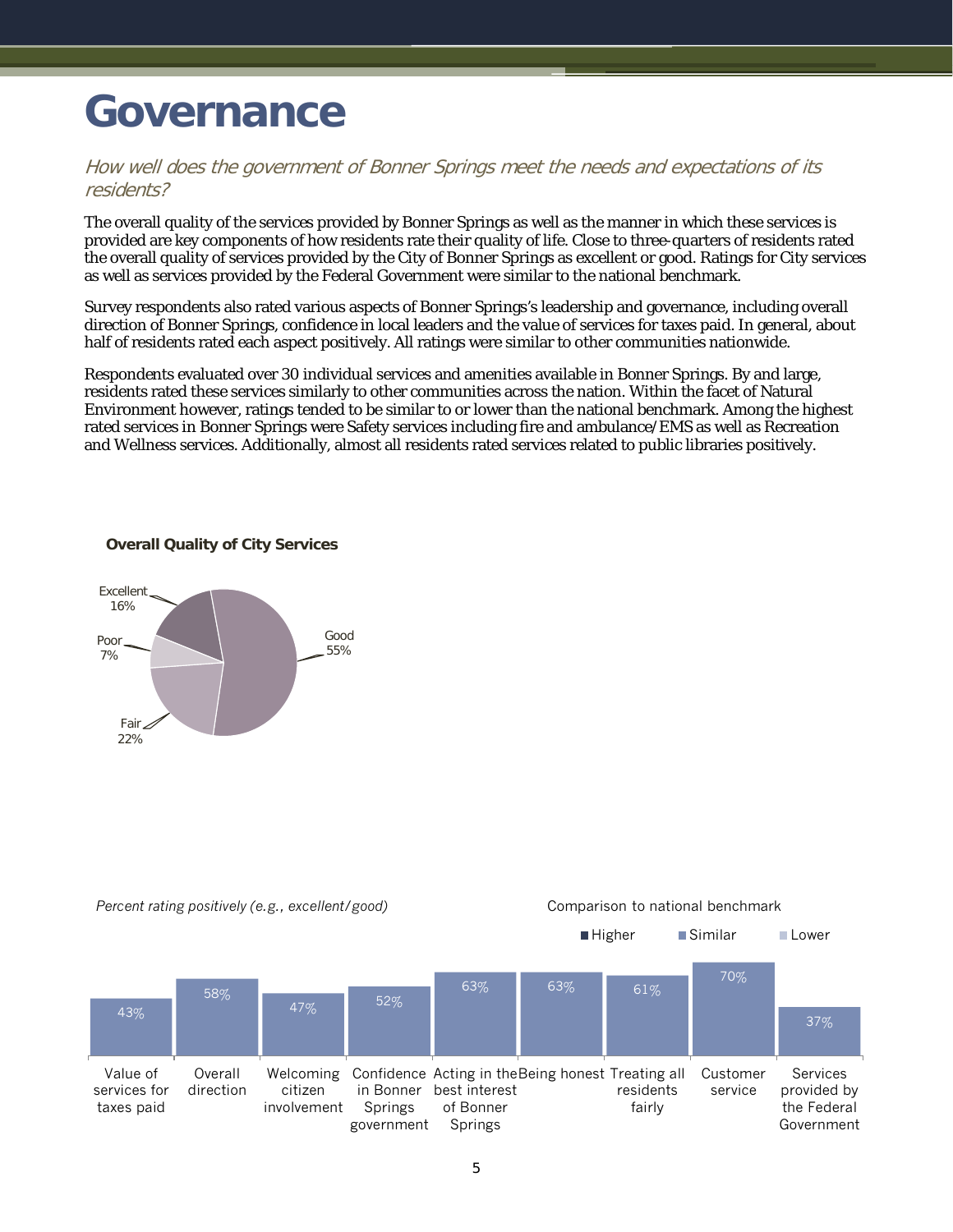### <span id="page-6-0"></span>**Governance**

#### How well does the government of Bonner Springs meet the needs and expectations of its residents?

The overall quality of the services provided by Bonner Springs as well as the manner in which these services is provided are key components of how residents rate their quality of life. Close to three-quarters of residents rated the overall quality of services provided by the City of Bonner Springs as excellent or good. Ratings for City services as well as services provided by the Federal Government were similar to the national benchmark.

Survey respondents also rated various aspects of Bonner Springs's leadership and governance, including overall direction of Bonner Springs, confidence in local leaders and the value of services for taxes paid. In general, about half of residents rated each aspect positively. All ratings were similar to other communities nationwide.

Respondents evaluated over 30 individual services and amenities available in Bonner Springs. By and large, residents rated these services similarly to other communities across the nation. Within the facet of Natural Environment however, ratings tended to be similar to or lower than the national benchmark. Among the highest rated services in Bonner Springs were Safety services including fire and ambulance/EMS as well as Recreation and Wellness services. Additionally, almost all residents rated services related to public libraries positively.

#### **Overall Quality of City Services**



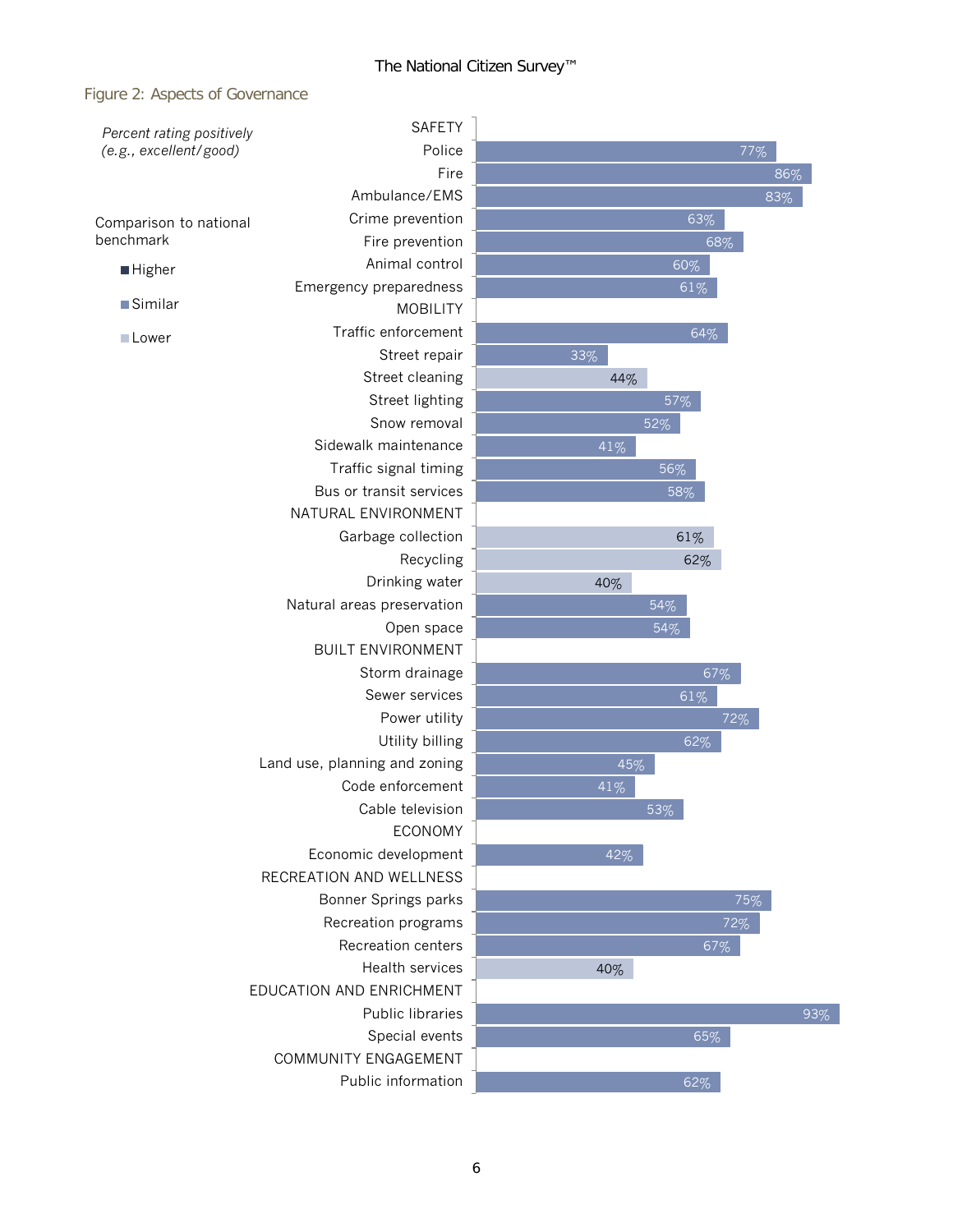#### Figure 2: Aspects of Governance

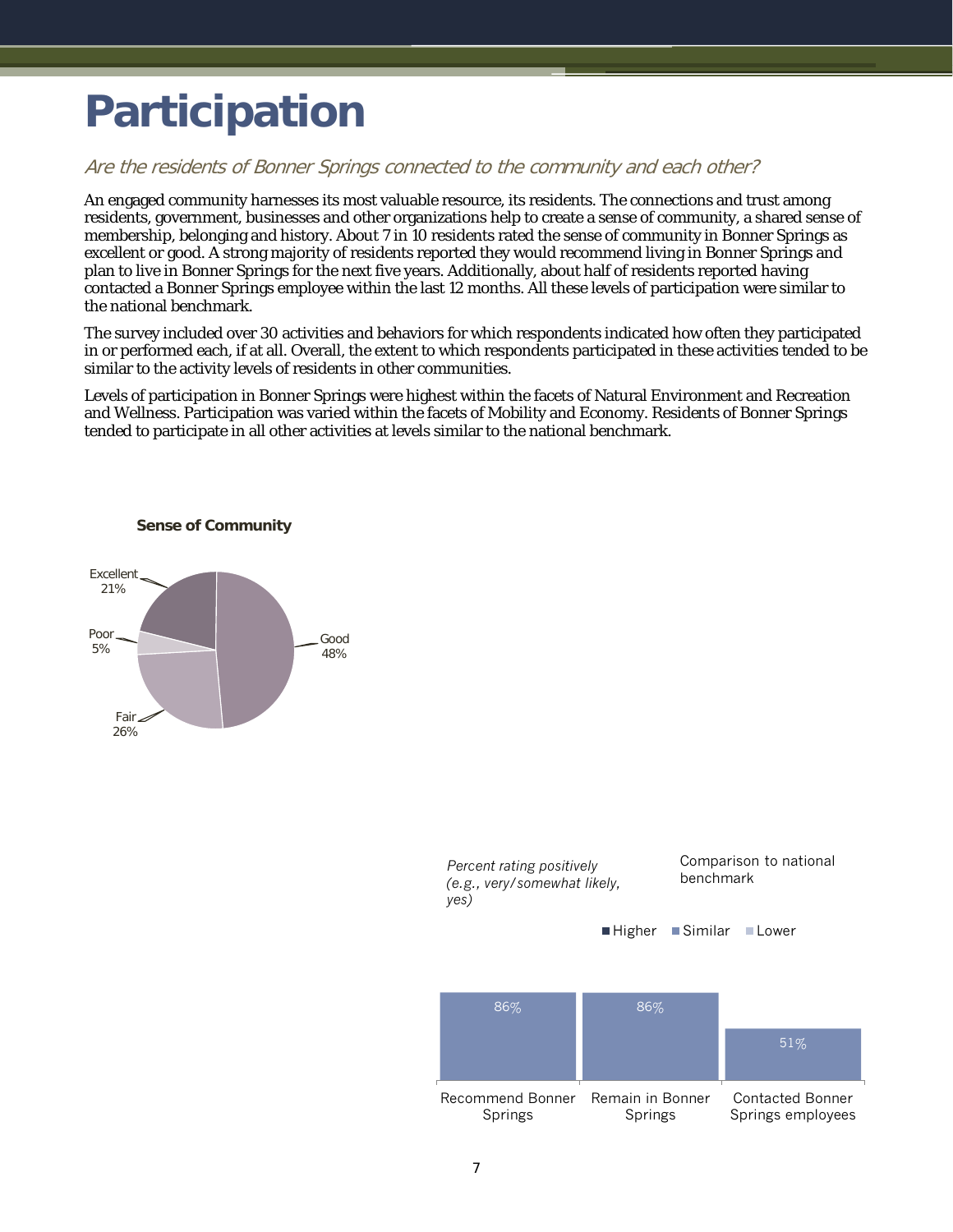### <span id="page-8-0"></span>**Participation**

#### Are the residents of Bonner Springs connected to the community and each other?

An engaged community harnesses its most valuable resource, its residents. The connections and trust among residents, government, businesses and other organizations help to create a sense of community, a shared sense of membership, belonging and history. About 7 in 10 residents rated the sense of community in Bonner Springs as excellent or good. A strong majority of residents reported they would recommend living in Bonner Springs and plan to live in Bonner Springs for the next five years. Additionally, about half of residents reported having contacted a Bonner Springs employee within the last 12 months. All these levels of participation were similar to the national benchmark.

The survey included over 30 activities and behaviors for which respondents indicated how often they participated in or performed each, if at all. Overall, the extent to which respondents participated in these activities tended to be similar to the activity levels of residents in other communities.

Levels of participation in Bonner Springs were highest within the facets of Natural Environment and Recreation and Wellness. Participation was varied within the facets of Mobility and Economy. Residents of Bonner Springs tended to participate in all other activities at levels similar to the national benchmark.



**Sense of Community**

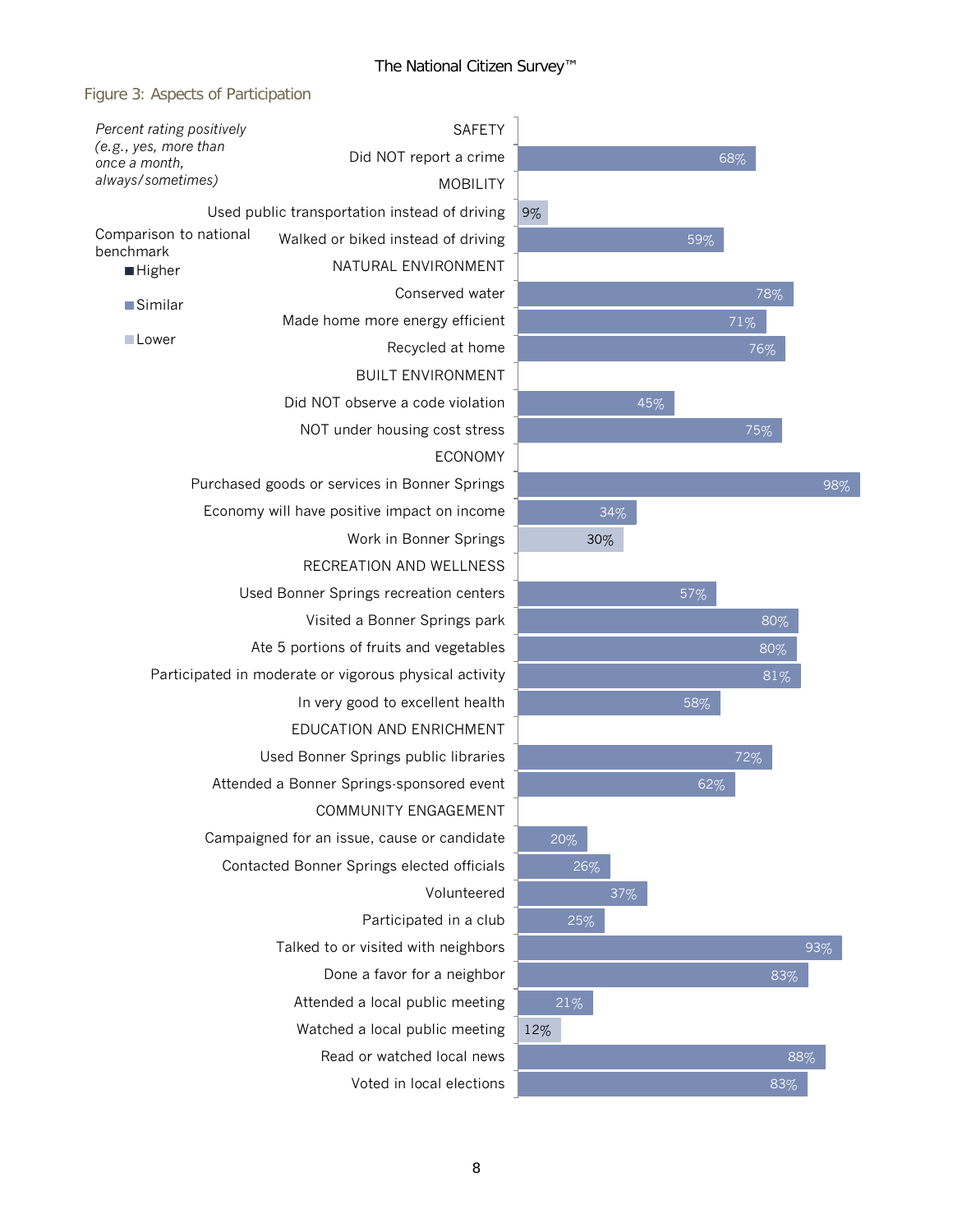

| Percent rating positively                              | <b>SAFETY</b>                                 |     |  |
|--------------------------------------------------------|-----------------------------------------------|-----|--|
| (e.g., yes, more than<br>once a month,                 | Did NOT report a crime                        |     |  |
| always/sometimes)                                      | <b>MOBILITY</b>                               |     |  |
|                                                        | Used public transportation instead of driving | 9%  |  |
| Comparison to national<br>benchmark                    | Walked or biked instead of driving            |     |  |
| ■ Higher                                               | NATURAL ENVIRONMENT                           |     |  |
| <b>Similar</b>                                         | Conserved water                               |     |  |
|                                                        | Made home more energy efficient               |     |  |
| <b>Lower</b>                                           | Recycled at home                              |     |  |
|                                                        | <b>BUILT ENVIRONMENT</b>                      |     |  |
| Did NOT observe a code violation                       |                                               | 45% |  |
|                                                        | NOT under housing cost stress                 |     |  |
|                                                        |                                               |     |  |
| Purchased goods or services in Bonner Springs          |                                               |     |  |
| Economy will have positive impact on income            | 34%                                           |     |  |
|                                                        | 30%                                           |     |  |
|                                                        |                                               |     |  |
| Used Bonner Springs recreation centers                 |                                               |     |  |
|                                                        |                                               |     |  |
| Ate 5 portions of fruits and vegetables                |                                               |     |  |
| Participated in moderate or vigorous physical activity |                                               |     |  |
|                                                        |                                               |     |  |
|                                                        |                                               |     |  |
| Used Bonner Springs public libraries                   |                                               |     |  |
|                                                        | Attended a Bonner Springs-sponsored event     |     |  |
|                                                        | COMMUNITY ENGAGEMENT                          |     |  |
| Campaigned for an issue, cause or candidate            | 20%                                           |     |  |
|                                                        | Contacted Bonner Springs elected officials    | 26% |  |
|                                                        | 37%                                           |     |  |
|                                                        | 25%                                           |     |  |
|                                                        |                                               |     |  |
|                                                        |                                               |     |  |
|                                                        | 21%                                           |     |  |
|                                                        | 12%                                           |     |  |
|                                                        |                                               |     |  |
|                                                        |                                               |     |  |

88% 83% 93% 62% 72% 58% 81% 80% 80% 57% 98% 75% 76%

71%

68%

59%

78%

83%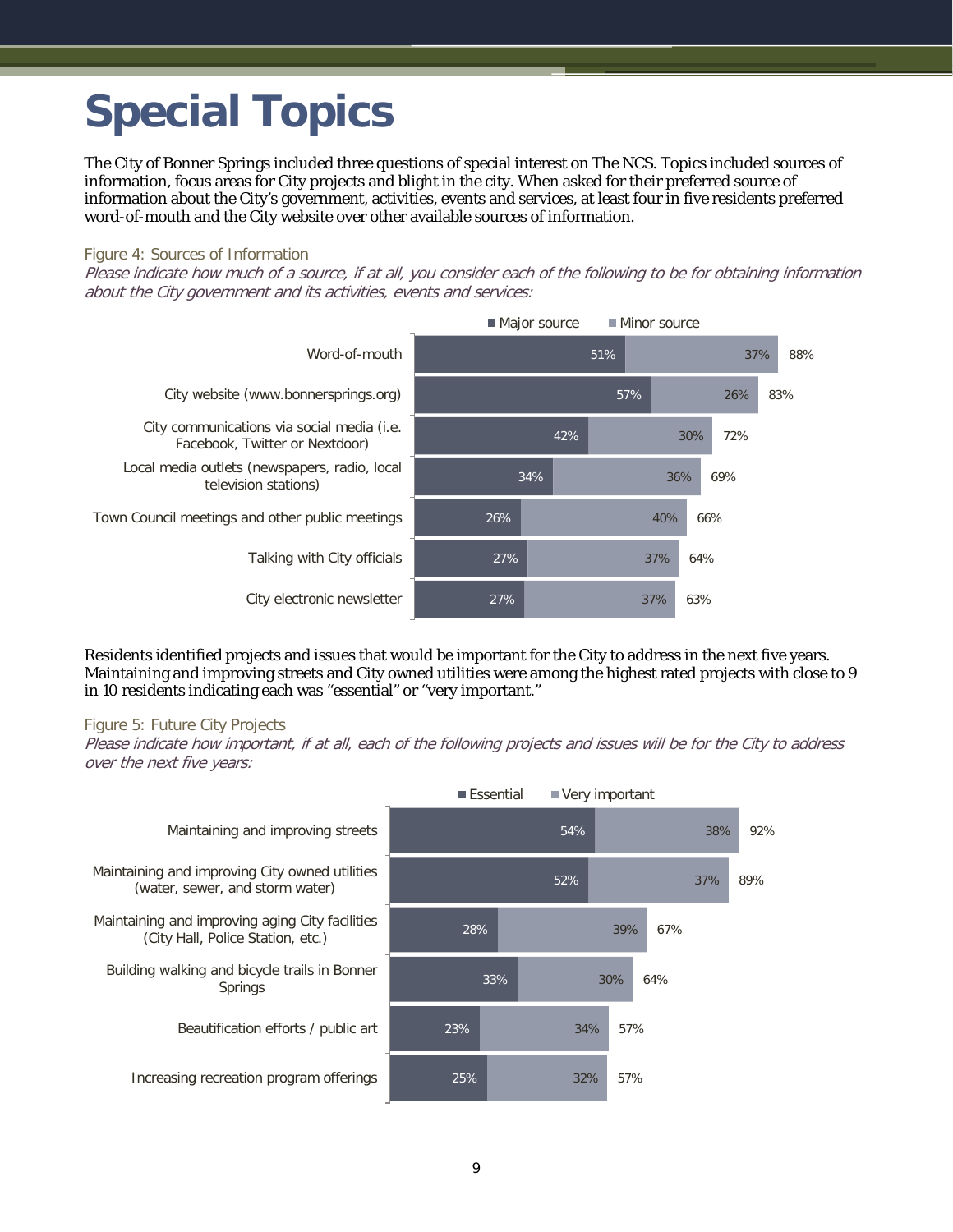## <span id="page-10-0"></span>**Special Topics**

The City of Bonner Springs included three questions of special interest on The NCS. Topics included sources of information, focus areas for City projects and blight in the city. When asked for their preferred source of information about the City's government, activities, events and services, at least four in five residents preferred word-of-mouth and the City website over other available sources of information.

#### Figure 4: Sources of Information

Please indicate how much of a source, if at all, you consider each of the following to be for obtaining information about the City government and its activities, events and services:



Residents identified projects and issues that would be important for the City to address in the next five years. Maintaining and improving streets and City owned utilities were among the highest rated projects with close to 9 in 10 residents indicating each was "essential" or "very important."

#### Figure 5: Future City Projects

Please indicate how important, if at all, each of the following projects and issues will be for the City to address over the next five years:

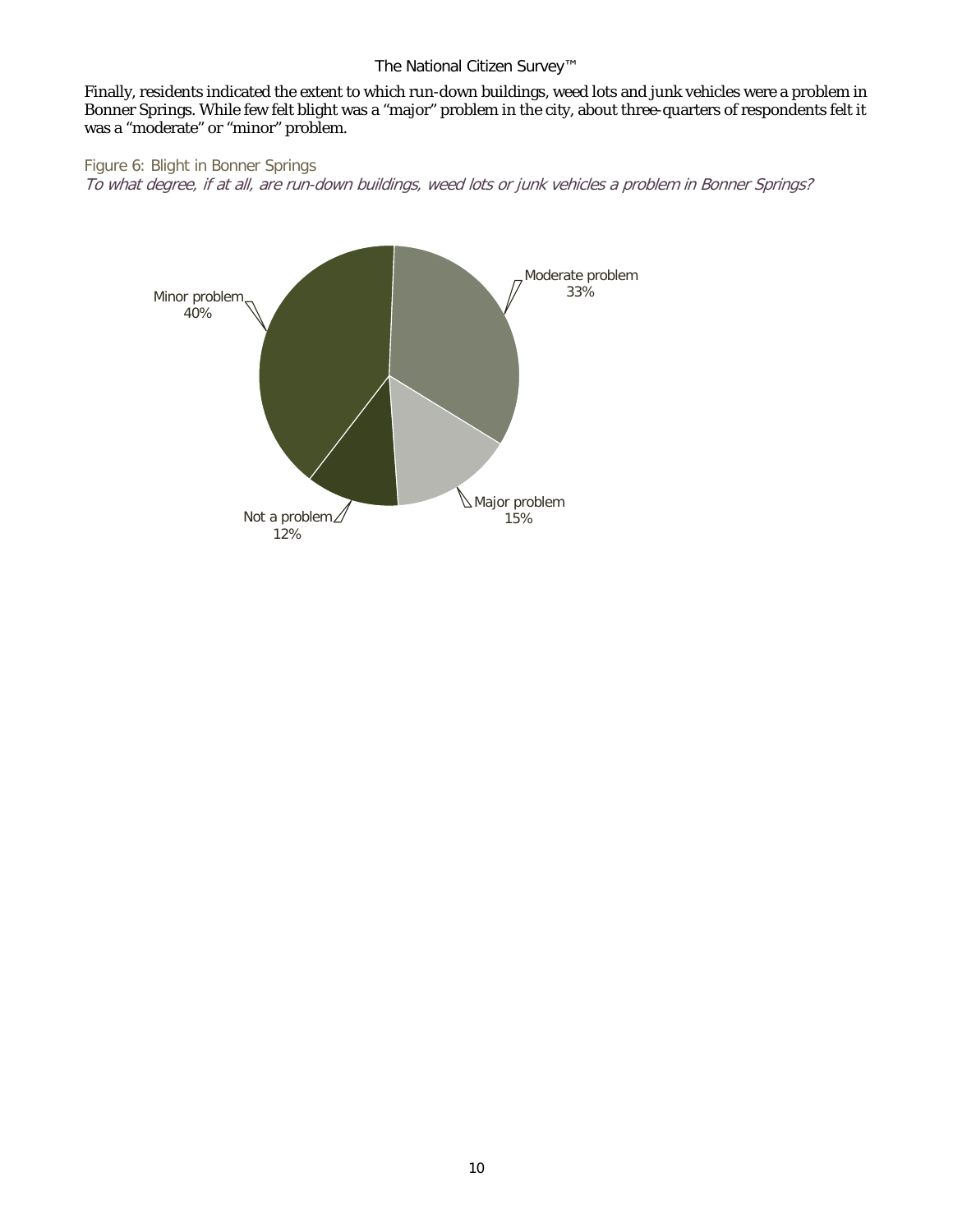Finally, residents indicated the extent to which run-down buildings, weed lots and junk vehicles were a problem in Bonner Springs. While few felt blight was a "major" problem in the city, about three-quarters of respondents felt it was a "moderate" or "minor" problem.

Figure 6: Blight in Bonner Springs To what degree, if at all, are run-down buildings, weed lots or junk vehicles a problem in Bonner Springs?